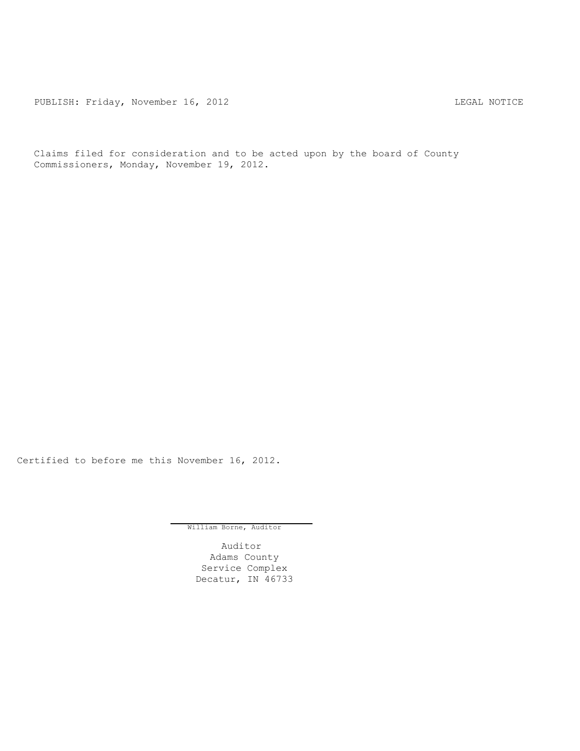PUBLISH: Friday, November 16, 2012 <br>
LEGAL NOTICE

Claims filed for consideration and to be acted upon by the board of County Commissioners, Monday, November 19, 2012.

Certified to before me this November 16, 2012.

William Borne, Auditor

Auditor Adams County Service Complex Decatur, IN 46733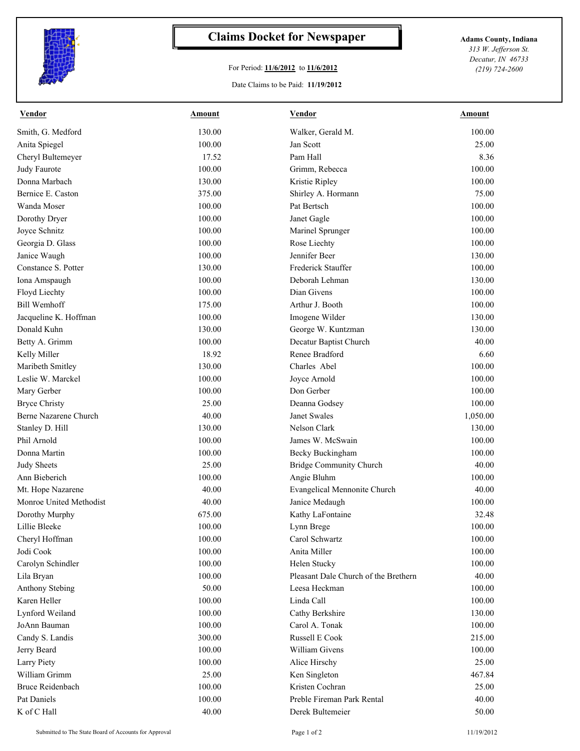

## **Claims Docket for Newspaper Adams County, Indiana**

## For Period: **11/6/2012** to **11/6/2012**

Date Claims to be Paid: **11/19/2012**

*313 W. Jefferson St. Decatur, IN 46733 (219) 724-2600*

| Smith, G. Medford<br>130.00<br>Walker, Gerald M.<br>100.00<br>100.00<br>Jan Scott<br>25.00<br>Anita Spiegel<br>17.52<br>Pam Hall<br>8.36<br>Cheryl Bultemeyer<br>100.00<br>100.00<br>Judy Faurote<br>Grimm, Rebecca<br>130.00<br>100.00<br>Donna Marbach<br>Kristie Ripley<br>Bernice E. Caston<br>375.00<br>Shirley A. Hormann<br>75.00<br>Wanda Moser<br>100.00<br>Pat Bertsch<br>100.00<br>100.00<br>Dorothy Dryer<br>Janet Gagle<br>100.00<br>Joyce Schnitz<br>100.00<br>Marinel Sprunger<br>100.00<br>Georgia D. Glass<br>100.00<br>Rose Liechty<br>100.00<br>Jennifer Beer<br>100.00<br>Janice Waugh<br>130.00<br>Constance S. Potter<br>130.00<br>Frederick Stauffer<br>100.00<br>Deborah Lehman<br>Iona Amspaugh<br>100.00<br>130.00<br>100.00<br>Dian Givens<br>Floyd Liechty<br>100.00<br><b>Bill Wemhoff</b><br>175.00<br>Arthur J. Booth<br>100.00<br>100.00<br>Jacqueline K. Hoffman<br>Imogene Wilder<br>130.00<br>130.00<br>130.00<br>Donald Kuhn<br>George W. Kuntzman<br>Decatur Baptist Church<br>Betty A. Grimm<br>100.00<br>40.00<br>Renee Bradford<br>6.60<br>Kelly Miller<br>18.92<br>130.00<br>Charles Abel<br>100.00<br>Maribeth Smitley<br>Leslie W. Marckel<br>100.00<br>Joyce Arnold<br>100.00<br>100.00<br>Don Gerber<br>Mary Gerber<br>100.00<br>25.00<br>100.00<br><b>Bryce Christy</b><br>Deanna Godsey<br>Berne Nazarene Church<br>40.00<br>Janet Swales<br>1,050.00<br>Nelson Clark<br>Stanley D. Hill<br>130.00<br>130.00<br>Phil Arnold<br>100.00<br>James W. McSwain<br>100.00<br>Donna Martin<br>100.00<br>Becky Buckingham<br>100.00<br><b>Judy Sheets</b><br>25.00<br><b>Bridge Community Church</b><br>40.00<br>100.00<br>100.00<br>Ann Bieberich<br>Angie Bluhm<br>40.00<br>Mt. Hope Nazarene<br>Evangelical Mennonite Church<br>40.00<br>Monroe United Methodist<br>40.00<br>Janice Medaugh<br>100.00<br>675.00<br>Kathy LaFontaine<br>32.48<br>Dorothy Murphy<br>100.00<br>100.00<br>Lynn Brege<br>Lillie Bleeke<br>Cheryl Hoffman<br>100.00<br>Carol Schwartz<br>100.00<br>Jodi Cook<br>100.00<br>Anita Miller<br>100.00<br>Carolyn Schindler<br>100.00<br>Helen Stucky<br>100.00<br>100.00<br>Pleasant Dale Church of the Brethern<br>40.00<br>Lila Bryan<br>50.00<br>Anthony Stebing<br>Leesa Heckman<br>100.00<br>Karen Heller<br>100.00<br>Linda Call<br>100.00<br>Lynford Weiland<br>100.00<br>Cathy Berkshire<br>130.00<br>100.00<br>Carol A. Tonak<br>JoAnn Bauman<br>100.00<br>Russell E Cook<br>Candy S. Landis<br>300.00<br>215.00<br>William Givens<br>Jerry Beard<br>100.00<br>100.00<br>Larry Piety<br>25.00<br>100.00<br>Alice Hirschy<br>25.00<br>467.84<br>William Grimm<br>Ken Singleton<br>Kristen Cochran<br><b>Bruce Reidenbach</b><br>100.00<br>25.00<br>100.00<br>Preble Fireman Park Rental<br>Pat Daniels<br>40.00 | <b>Vendor</b> | Amount | <b>Vendor</b>    | Amount |
|----------------------------------------------------------------------------------------------------------------------------------------------------------------------------------------------------------------------------------------------------------------------------------------------------------------------------------------------------------------------------------------------------------------------------------------------------------------------------------------------------------------------------------------------------------------------------------------------------------------------------------------------------------------------------------------------------------------------------------------------------------------------------------------------------------------------------------------------------------------------------------------------------------------------------------------------------------------------------------------------------------------------------------------------------------------------------------------------------------------------------------------------------------------------------------------------------------------------------------------------------------------------------------------------------------------------------------------------------------------------------------------------------------------------------------------------------------------------------------------------------------------------------------------------------------------------------------------------------------------------------------------------------------------------------------------------------------------------------------------------------------------------------------------------------------------------------------------------------------------------------------------------------------------------------------------------------------------------------------------------------------------------------------------------------------------------------------------------------------------------------------------------------------------------------------------------------------------------------------------------------------------------------------------------------------------------------------------------------------------------------------------------------------------------------------------------------------------------------------------------------------------------------------------------------------------------------------------------------------------------------------------------------------------------------------------------------------------------------------------------------------------------------------------|---------------|--------|------------------|--------|
|                                                                                                                                                                                                                                                                                                                                                                                                                                                                                                                                                                                                                                                                                                                                                                                                                                                                                                                                                                                                                                                                                                                                                                                                                                                                                                                                                                                                                                                                                                                                                                                                                                                                                                                                                                                                                                                                                                                                                                                                                                                                                                                                                                                                                                                                                                                                                                                                                                                                                                                                                                                                                                                                                                                                                                                        |               |        |                  |        |
|                                                                                                                                                                                                                                                                                                                                                                                                                                                                                                                                                                                                                                                                                                                                                                                                                                                                                                                                                                                                                                                                                                                                                                                                                                                                                                                                                                                                                                                                                                                                                                                                                                                                                                                                                                                                                                                                                                                                                                                                                                                                                                                                                                                                                                                                                                                                                                                                                                                                                                                                                                                                                                                                                                                                                                                        |               |        |                  |        |
|                                                                                                                                                                                                                                                                                                                                                                                                                                                                                                                                                                                                                                                                                                                                                                                                                                                                                                                                                                                                                                                                                                                                                                                                                                                                                                                                                                                                                                                                                                                                                                                                                                                                                                                                                                                                                                                                                                                                                                                                                                                                                                                                                                                                                                                                                                                                                                                                                                                                                                                                                                                                                                                                                                                                                                                        |               |        |                  |        |
|                                                                                                                                                                                                                                                                                                                                                                                                                                                                                                                                                                                                                                                                                                                                                                                                                                                                                                                                                                                                                                                                                                                                                                                                                                                                                                                                                                                                                                                                                                                                                                                                                                                                                                                                                                                                                                                                                                                                                                                                                                                                                                                                                                                                                                                                                                                                                                                                                                                                                                                                                                                                                                                                                                                                                                                        |               |        |                  |        |
|                                                                                                                                                                                                                                                                                                                                                                                                                                                                                                                                                                                                                                                                                                                                                                                                                                                                                                                                                                                                                                                                                                                                                                                                                                                                                                                                                                                                                                                                                                                                                                                                                                                                                                                                                                                                                                                                                                                                                                                                                                                                                                                                                                                                                                                                                                                                                                                                                                                                                                                                                                                                                                                                                                                                                                                        |               |        |                  |        |
|                                                                                                                                                                                                                                                                                                                                                                                                                                                                                                                                                                                                                                                                                                                                                                                                                                                                                                                                                                                                                                                                                                                                                                                                                                                                                                                                                                                                                                                                                                                                                                                                                                                                                                                                                                                                                                                                                                                                                                                                                                                                                                                                                                                                                                                                                                                                                                                                                                                                                                                                                                                                                                                                                                                                                                                        |               |        |                  |        |
|                                                                                                                                                                                                                                                                                                                                                                                                                                                                                                                                                                                                                                                                                                                                                                                                                                                                                                                                                                                                                                                                                                                                                                                                                                                                                                                                                                                                                                                                                                                                                                                                                                                                                                                                                                                                                                                                                                                                                                                                                                                                                                                                                                                                                                                                                                                                                                                                                                                                                                                                                                                                                                                                                                                                                                                        |               |        |                  |        |
|                                                                                                                                                                                                                                                                                                                                                                                                                                                                                                                                                                                                                                                                                                                                                                                                                                                                                                                                                                                                                                                                                                                                                                                                                                                                                                                                                                                                                                                                                                                                                                                                                                                                                                                                                                                                                                                                                                                                                                                                                                                                                                                                                                                                                                                                                                                                                                                                                                                                                                                                                                                                                                                                                                                                                                                        |               |        |                  |        |
|                                                                                                                                                                                                                                                                                                                                                                                                                                                                                                                                                                                                                                                                                                                                                                                                                                                                                                                                                                                                                                                                                                                                                                                                                                                                                                                                                                                                                                                                                                                                                                                                                                                                                                                                                                                                                                                                                                                                                                                                                                                                                                                                                                                                                                                                                                                                                                                                                                                                                                                                                                                                                                                                                                                                                                                        |               |        |                  |        |
|                                                                                                                                                                                                                                                                                                                                                                                                                                                                                                                                                                                                                                                                                                                                                                                                                                                                                                                                                                                                                                                                                                                                                                                                                                                                                                                                                                                                                                                                                                                                                                                                                                                                                                                                                                                                                                                                                                                                                                                                                                                                                                                                                                                                                                                                                                                                                                                                                                                                                                                                                                                                                                                                                                                                                                                        |               |        |                  |        |
|                                                                                                                                                                                                                                                                                                                                                                                                                                                                                                                                                                                                                                                                                                                                                                                                                                                                                                                                                                                                                                                                                                                                                                                                                                                                                                                                                                                                                                                                                                                                                                                                                                                                                                                                                                                                                                                                                                                                                                                                                                                                                                                                                                                                                                                                                                                                                                                                                                                                                                                                                                                                                                                                                                                                                                                        |               |        |                  |        |
|                                                                                                                                                                                                                                                                                                                                                                                                                                                                                                                                                                                                                                                                                                                                                                                                                                                                                                                                                                                                                                                                                                                                                                                                                                                                                                                                                                                                                                                                                                                                                                                                                                                                                                                                                                                                                                                                                                                                                                                                                                                                                                                                                                                                                                                                                                                                                                                                                                                                                                                                                                                                                                                                                                                                                                                        |               |        |                  |        |
|                                                                                                                                                                                                                                                                                                                                                                                                                                                                                                                                                                                                                                                                                                                                                                                                                                                                                                                                                                                                                                                                                                                                                                                                                                                                                                                                                                                                                                                                                                                                                                                                                                                                                                                                                                                                                                                                                                                                                                                                                                                                                                                                                                                                                                                                                                                                                                                                                                                                                                                                                                                                                                                                                                                                                                                        |               |        |                  |        |
|                                                                                                                                                                                                                                                                                                                                                                                                                                                                                                                                                                                                                                                                                                                                                                                                                                                                                                                                                                                                                                                                                                                                                                                                                                                                                                                                                                                                                                                                                                                                                                                                                                                                                                                                                                                                                                                                                                                                                                                                                                                                                                                                                                                                                                                                                                                                                                                                                                                                                                                                                                                                                                                                                                                                                                                        |               |        |                  |        |
|                                                                                                                                                                                                                                                                                                                                                                                                                                                                                                                                                                                                                                                                                                                                                                                                                                                                                                                                                                                                                                                                                                                                                                                                                                                                                                                                                                                                                                                                                                                                                                                                                                                                                                                                                                                                                                                                                                                                                                                                                                                                                                                                                                                                                                                                                                                                                                                                                                                                                                                                                                                                                                                                                                                                                                                        |               |        |                  |        |
|                                                                                                                                                                                                                                                                                                                                                                                                                                                                                                                                                                                                                                                                                                                                                                                                                                                                                                                                                                                                                                                                                                                                                                                                                                                                                                                                                                                                                                                                                                                                                                                                                                                                                                                                                                                                                                                                                                                                                                                                                                                                                                                                                                                                                                                                                                                                                                                                                                                                                                                                                                                                                                                                                                                                                                                        |               |        |                  |        |
|                                                                                                                                                                                                                                                                                                                                                                                                                                                                                                                                                                                                                                                                                                                                                                                                                                                                                                                                                                                                                                                                                                                                                                                                                                                                                                                                                                                                                                                                                                                                                                                                                                                                                                                                                                                                                                                                                                                                                                                                                                                                                                                                                                                                                                                                                                                                                                                                                                                                                                                                                                                                                                                                                                                                                                                        |               |        |                  |        |
|                                                                                                                                                                                                                                                                                                                                                                                                                                                                                                                                                                                                                                                                                                                                                                                                                                                                                                                                                                                                                                                                                                                                                                                                                                                                                                                                                                                                                                                                                                                                                                                                                                                                                                                                                                                                                                                                                                                                                                                                                                                                                                                                                                                                                                                                                                                                                                                                                                                                                                                                                                                                                                                                                                                                                                                        |               |        |                  |        |
|                                                                                                                                                                                                                                                                                                                                                                                                                                                                                                                                                                                                                                                                                                                                                                                                                                                                                                                                                                                                                                                                                                                                                                                                                                                                                                                                                                                                                                                                                                                                                                                                                                                                                                                                                                                                                                                                                                                                                                                                                                                                                                                                                                                                                                                                                                                                                                                                                                                                                                                                                                                                                                                                                                                                                                                        |               |        |                  |        |
|                                                                                                                                                                                                                                                                                                                                                                                                                                                                                                                                                                                                                                                                                                                                                                                                                                                                                                                                                                                                                                                                                                                                                                                                                                                                                                                                                                                                                                                                                                                                                                                                                                                                                                                                                                                                                                                                                                                                                                                                                                                                                                                                                                                                                                                                                                                                                                                                                                                                                                                                                                                                                                                                                                                                                                                        |               |        |                  |        |
|                                                                                                                                                                                                                                                                                                                                                                                                                                                                                                                                                                                                                                                                                                                                                                                                                                                                                                                                                                                                                                                                                                                                                                                                                                                                                                                                                                                                                                                                                                                                                                                                                                                                                                                                                                                                                                                                                                                                                                                                                                                                                                                                                                                                                                                                                                                                                                                                                                                                                                                                                                                                                                                                                                                                                                                        |               |        |                  |        |
|                                                                                                                                                                                                                                                                                                                                                                                                                                                                                                                                                                                                                                                                                                                                                                                                                                                                                                                                                                                                                                                                                                                                                                                                                                                                                                                                                                                                                                                                                                                                                                                                                                                                                                                                                                                                                                                                                                                                                                                                                                                                                                                                                                                                                                                                                                                                                                                                                                                                                                                                                                                                                                                                                                                                                                                        |               |        |                  |        |
|                                                                                                                                                                                                                                                                                                                                                                                                                                                                                                                                                                                                                                                                                                                                                                                                                                                                                                                                                                                                                                                                                                                                                                                                                                                                                                                                                                                                                                                                                                                                                                                                                                                                                                                                                                                                                                                                                                                                                                                                                                                                                                                                                                                                                                                                                                                                                                                                                                                                                                                                                                                                                                                                                                                                                                                        |               |        |                  |        |
|                                                                                                                                                                                                                                                                                                                                                                                                                                                                                                                                                                                                                                                                                                                                                                                                                                                                                                                                                                                                                                                                                                                                                                                                                                                                                                                                                                                                                                                                                                                                                                                                                                                                                                                                                                                                                                                                                                                                                                                                                                                                                                                                                                                                                                                                                                                                                                                                                                                                                                                                                                                                                                                                                                                                                                                        |               |        |                  |        |
|                                                                                                                                                                                                                                                                                                                                                                                                                                                                                                                                                                                                                                                                                                                                                                                                                                                                                                                                                                                                                                                                                                                                                                                                                                                                                                                                                                                                                                                                                                                                                                                                                                                                                                                                                                                                                                                                                                                                                                                                                                                                                                                                                                                                                                                                                                                                                                                                                                                                                                                                                                                                                                                                                                                                                                                        |               |        |                  |        |
|                                                                                                                                                                                                                                                                                                                                                                                                                                                                                                                                                                                                                                                                                                                                                                                                                                                                                                                                                                                                                                                                                                                                                                                                                                                                                                                                                                                                                                                                                                                                                                                                                                                                                                                                                                                                                                                                                                                                                                                                                                                                                                                                                                                                                                                                                                                                                                                                                                                                                                                                                                                                                                                                                                                                                                                        |               |        |                  |        |
|                                                                                                                                                                                                                                                                                                                                                                                                                                                                                                                                                                                                                                                                                                                                                                                                                                                                                                                                                                                                                                                                                                                                                                                                                                                                                                                                                                                                                                                                                                                                                                                                                                                                                                                                                                                                                                                                                                                                                                                                                                                                                                                                                                                                                                                                                                                                                                                                                                                                                                                                                                                                                                                                                                                                                                                        |               |        |                  |        |
|                                                                                                                                                                                                                                                                                                                                                                                                                                                                                                                                                                                                                                                                                                                                                                                                                                                                                                                                                                                                                                                                                                                                                                                                                                                                                                                                                                                                                                                                                                                                                                                                                                                                                                                                                                                                                                                                                                                                                                                                                                                                                                                                                                                                                                                                                                                                                                                                                                                                                                                                                                                                                                                                                                                                                                                        |               |        |                  |        |
|                                                                                                                                                                                                                                                                                                                                                                                                                                                                                                                                                                                                                                                                                                                                                                                                                                                                                                                                                                                                                                                                                                                                                                                                                                                                                                                                                                                                                                                                                                                                                                                                                                                                                                                                                                                                                                                                                                                                                                                                                                                                                                                                                                                                                                                                                                                                                                                                                                                                                                                                                                                                                                                                                                                                                                                        |               |        |                  |        |
|                                                                                                                                                                                                                                                                                                                                                                                                                                                                                                                                                                                                                                                                                                                                                                                                                                                                                                                                                                                                                                                                                                                                                                                                                                                                                                                                                                                                                                                                                                                                                                                                                                                                                                                                                                                                                                                                                                                                                                                                                                                                                                                                                                                                                                                                                                                                                                                                                                                                                                                                                                                                                                                                                                                                                                                        |               |        |                  |        |
|                                                                                                                                                                                                                                                                                                                                                                                                                                                                                                                                                                                                                                                                                                                                                                                                                                                                                                                                                                                                                                                                                                                                                                                                                                                                                                                                                                                                                                                                                                                                                                                                                                                                                                                                                                                                                                                                                                                                                                                                                                                                                                                                                                                                                                                                                                                                                                                                                                                                                                                                                                                                                                                                                                                                                                                        |               |        |                  |        |
|                                                                                                                                                                                                                                                                                                                                                                                                                                                                                                                                                                                                                                                                                                                                                                                                                                                                                                                                                                                                                                                                                                                                                                                                                                                                                                                                                                                                                                                                                                                                                                                                                                                                                                                                                                                                                                                                                                                                                                                                                                                                                                                                                                                                                                                                                                                                                                                                                                                                                                                                                                                                                                                                                                                                                                                        |               |        |                  |        |
|                                                                                                                                                                                                                                                                                                                                                                                                                                                                                                                                                                                                                                                                                                                                                                                                                                                                                                                                                                                                                                                                                                                                                                                                                                                                                                                                                                                                                                                                                                                                                                                                                                                                                                                                                                                                                                                                                                                                                                                                                                                                                                                                                                                                                                                                                                                                                                                                                                                                                                                                                                                                                                                                                                                                                                                        |               |        |                  |        |
|                                                                                                                                                                                                                                                                                                                                                                                                                                                                                                                                                                                                                                                                                                                                                                                                                                                                                                                                                                                                                                                                                                                                                                                                                                                                                                                                                                                                                                                                                                                                                                                                                                                                                                                                                                                                                                                                                                                                                                                                                                                                                                                                                                                                                                                                                                                                                                                                                                                                                                                                                                                                                                                                                                                                                                                        |               |        |                  |        |
|                                                                                                                                                                                                                                                                                                                                                                                                                                                                                                                                                                                                                                                                                                                                                                                                                                                                                                                                                                                                                                                                                                                                                                                                                                                                                                                                                                                                                                                                                                                                                                                                                                                                                                                                                                                                                                                                                                                                                                                                                                                                                                                                                                                                                                                                                                                                                                                                                                                                                                                                                                                                                                                                                                                                                                                        |               |        |                  |        |
|                                                                                                                                                                                                                                                                                                                                                                                                                                                                                                                                                                                                                                                                                                                                                                                                                                                                                                                                                                                                                                                                                                                                                                                                                                                                                                                                                                                                                                                                                                                                                                                                                                                                                                                                                                                                                                                                                                                                                                                                                                                                                                                                                                                                                                                                                                                                                                                                                                                                                                                                                                                                                                                                                                                                                                                        |               |        |                  |        |
|                                                                                                                                                                                                                                                                                                                                                                                                                                                                                                                                                                                                                                                                                                                                                                                                                                                                                                                                                                                                                                                                                                                                                                                                                                                                                                                                                                                                                                                                                                                                                                                                                                                                                                                                                                                                                                                                                                                                                                                                                                                                                                                                                                                                                                                                                                                                                                                                                                                                                                                                                                                                                                                                                                                                                                                        |               |        |                  |        |
|                                                                                                                                                                                                                                                                                                                                                                                                                                                                                                                                                                                                                                                                                                                                                                                                                                                                                                                                                                                                                                                                                                                                                                                                                                                                                                                                                                                                                                                                                                                                                                                                                                                                                                                                                                                                                                                                                                                                                                                                                                                                                                                                                                                                                                                                                                                                                                                                                                                                                                                                                                                                                                                                                                                                                                                        |               |        |                  |        |
|                                                                                                                                                                                                                                                                                                                                                                                                                                                                                                                                                                                                                                                                                                                                                                                                                                                                                                                                                                                                                                                                                                                                                                                                                                                                                                                                                                                                                                                                                                                                                                                                                                                                                                                                                                                                                                                                                                                                                                                                                                                                                                                                                                                                                                                                                                                                                                                                                                                                                                                                                                                                                                                                                                                                                                                        |               |        |                  |        |
|                                                                                                                                                                                                                                                                                                                                                                                                                                                                                                                                                                                                                                                                                                                                                                                                                                                                                                                                                                                                                                                                                                                                                                                                                                                                                                                                                                                                                                                                                                                                                                                                                                                                                                                                                                                                                                                                                                                                                                                                                                                                                                                                                                                                                                                                                                                                                                                                                                                                                                                                                                                                                                                                                                                                                                                        |               |        |                  |        |
|                                                                                                                                                                                                                                                                                                                                                                                                                                                                                                                                                                                                                                                                                                                                                                                                                                                                                                                                                                                                                                                                                                                                                                                                                                                                                                                                                                                                                                                                                                                                                                                                                                                                                                                                                                                                                                                                                                                                                                                                                                                                                                                                                                                                                                                                                                                                                                                                                                                                                                                                                                                                                                                                                                                                                                                        |               |        |                  |        |
|                                                                                                                                                                                                                                                                                                                                                                                                                                                                                                                                                                                                                                                                                                                                                                                                                                                                                                                                                                                                                                                                                                                                                                                                                                                                                                                                                                                                                                                                                                                                                                                                                                                                                                                                                                                                                                                                                                                                                                                                                                                                                                                                                                                                                                                                                                                                                                                                                                                                                                                                                                                                                                                                                                                                                                                        |               |        |                  |        |
|                                                                                                                                                                                                                                                                                                                                                                                                                                                                                                                                                                                                                                                                                                                                                                                                                                                                                                                                                                                                                                                                                                                                                                                                                                                                                                                                                                                                                                                                                                                                                                                                                                                                                                                                                                                                                                                                                                                                                                                                                                                                                                                                                                                                                                                                                                                                                                                                                                                                                                                                                                                                                                                                                                                                                                                        |               |        |                  |        |
|                                                                                                                                                                                                                                                                                                                                                                                                                                                                                                                                                                                                                                                                                                                                                                                                                                                                                                                                                                                                                                                                                                                                                                                                                                                                                                                                                                                                                                                                                                                                                                                                                                                                                                                                                                                                                                                                                                                                                                                                                                                                                                                                                                                                                                                                                                                                                                                                                                                                                                                                                                                                                                                                                                                                                                                        |               |        |                  |        |
|                                                                                                                                                                                                                                                                                                                                                                                                                                                                                                                                                                                                                                                                                                                                                                                                                                                                                                                                                                                                                                                                                                                                                                                                                                                                                                                                                                                                                                                                                                                                                                                                                                                                                                                                                                                                                                                                                                                                                                                                                                                                                                                                                                                                                                                                                                                                                                                                                                                                                                                                                                                                                                                                                                                                                                                        |               |        |                  |        |
|                                                                                                                                                                                                                                                                                                                                                                                                                                                                                                                                                                                                                                                                                                                                                                                                                                                                                                                                                                                                                                                                                                                                                                                                                                                                                                                                                                                                                                                                                                                                                                                                                                                                                                                                                                                                                                                                                                                                                                                                                                                                                                                                                                                                                                                                                                                                                                                                                                                                                                                                                                                                                                                                                                                                                                                        |               |        |                  |        |
|                                                                                                                                                                                                                                                                                                                                                                                                                                                                                                                                                                                                                                                                                                                                                                                                                                                                                                                                                                                                                                                                                                                                                                                                                                                                                                                                                                                                                                                                                                                                                                                                                                                                                                                                                                                                                                                                                                                                                                                                                                                                                                                                                                                                                                                                                                                                                                                                                                                                                                                                                                                                                                                                                                                                                                                        |               |        |                  |        |
|                                                                                                                                                                                                                                                                                                                                                                                                                                                                                                                                                                                                                                                                                                                                                                                                                                                                                                                                                                                                                                                                                                                                                                                                                                                                                                                                                                                                                                                                                                                                                                                                                                                                                                                                                                                                                                                                                                                                                                                                                                                                                                                                                                                                                                                                                                                                                                                                                                                                                                                                                                                                                                                                                                                                                                                        | K of C Hall   | 40.00  | Derek Bultemeier | 50.00  |